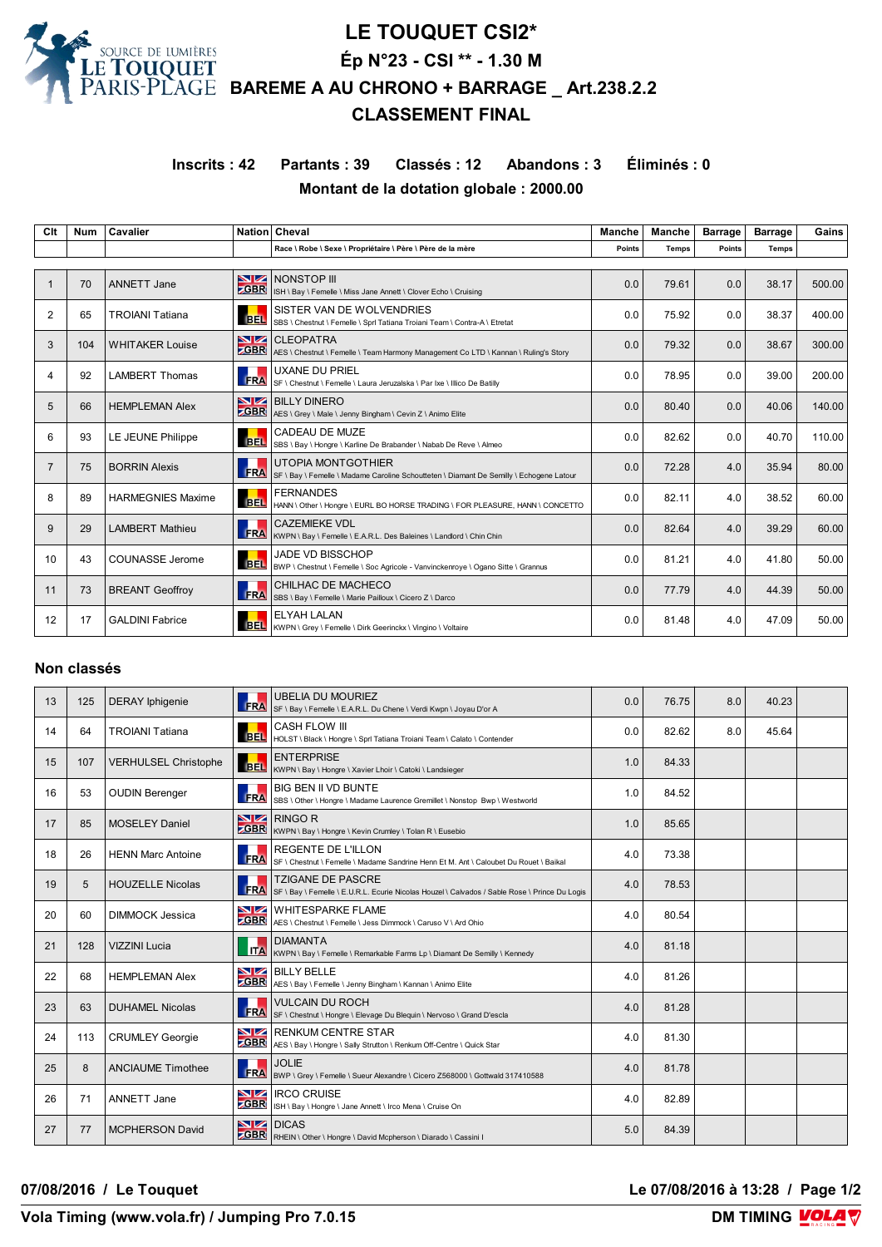

# **LE TOUQUET CSI2\* Ép N°23 - CSI \*\* - 1.30 M BAREME A AU CHRONO + BARRAGE \_ Art.238.2.2 CLASSEMENT FINAL**

# **Inscrits : 42 Partants : 39 Classés : 12 Abandons : 3 Éliminés : 0 Montant de la dotation globale : 2000.00**

| Clt            | <b>Num</b> | Cavalier                 |                   | Nation Cheval                                                                                                        | Manche | <b>Manche</b> | <b>Barrage</b> | <b>Barrage</b> | Gains  |
|----------------|------------|--------------------------|-------------------|----------------------------------------------------------------------------------------------------------------------|--------|---------------|----------------|----------------|--------|
|                |            |                          |                   | Race \ Robe \ Sexe \ Propriétaire \ Père \ Père de la mère                                                           | Points | <b>Temps</b>  | <b>Points</b>  | Temps          |        |
|                |            |                          |                   |                                                                                                                      |        |               |                |                |        |
|                | 70         | <b>ANNETT Jane</b>       | NZ.<br><b>GBR</b> | <b>NONSTOP III</b><br>ISH \ Bay \ Femelle \ Miss Jane Annett \ Clover Echo \ Cruising                                | 0.0    | 79.61         | 0.0            | 38.17          | 500.00 |
| $\overline{2}$ | 65         | <b>TROIANI Tatiana</b>   | <b>BEL</b>        | SISTER VAN DE WOLVENDRIES<br>SBS \ Chestnut \ Femelle \ Sprl Tatiana Troiani Team \ Contra-A \ Etretat               | 0.0    | 75.92         | 0.0            | 38.37          | 400.00 |
| 3              | 104        | <b>WHITAKER Louise</b>   | <b>CBR</b>        | <b>NZ</b> CLEOPATRA<br>AES \ Chestnut \ Femelle \ Team Harmony Management Co LTD \ Kannan \ Ruling's Story           | 0.0    | 79.32         | 0.0            | 38.67          | 300.00 |
| 4              | 92         | <b>LAMBERT Thomas</b>    | <b>FRA</b>        | <b>UXANE DU PRIEL</b><br>SF \ Chestnut \ Femelle \ Laura Jeruzalska \ Par Ixe \ Illico De Batilly                    | 0.0    | 78.95         | 0.0            | 39.00          | 200.00 |
| 5              | 66         | <b>HEMPLEMAN Alex</b>    | <b>GBR</b>        | <b>NZ BILLY DINERO</b><br>AES \ Grey \ Male \ Jenny Bingham \ Cevin Z \ Animo Elite                                  | 0.0    | 80.40         | 0.0            | 40.06          | 140.00 |
| 6              | 93         | LE JEUNE Philippe        | <b>BEL</b>        | CADEAU DE MUZE<br>SBS \ Bay \ Hongre \ Karline De Brabander \ Nabab De Reve \ Almeo                                  | 0.0    | 82.62         | 0.0            | 40.70          | 110.00 |
| $\overline{7}$ | 75         | <b>BORRIN Alexis</b>     | <b>FRA</b>        | <b>UTOPIA MONTGOTHIER</b><br>SF \ Bay \ Femelle \ Madame Caroline Schoutteten \ Diamant De Semilly \ Echogene Latour | 0.0    | 72.28         | 4.0            | 35.94          | 80.00  |
| 8              | 89         | <b>HARMEGNIES Maxime</b> | <b>BEL</b>        | <b>FERNANDES</b><br>HANN \ Other \ Hongre \ EURL BO HORSE TRADING \ FOR PLEASURE, HANN \ CONCETTO                    | 0.0    | 82.11         | 4.0            | 38.52          | 60.00  |
| 9              | 29         | <b>LAMBERT Mathieu</b>   | <b>FRA</b>        | <b>CAZEMIEKE VDL</b><br>KWPN \ Bay \ Femelle \ E.A.R.L. Des Baleines \ Landlord \ Chin Chin                          | 0.0    | 82.64         | 4.0            | 39.29          | 60.00  |
| 10             | 43         | COUNASSE Jerome          | <b>BEL</b>        | <b>JADE VD BISSCHOP</b><br>BWP \ Chestnut \ Femelle \ Soc Agricole - Vanvinckenroye \ Ogano Sitte \ Grannus          | 0.0    | 81.21         | 4.0            | 41.80          | 50.00  |
| 11             | 73         | <b>BREANT Geoffroy</b>   | <b>FRA</b>        | CHILHAC DE MACHECO<br>SBS \ Bay \ Femelle \ Marie Pailloux \ Cicero Z \ Darco                                        | 0.0    | 77.79         | 4.0            | 44.39          | 50.00  |
| 12             | 17         | <b>GALDINI Fabrice</b>   | <b>BEL</b>        | <b>ELYAH LALAN</b><br>KWPN \ Grey \ Femelle \ Dirk Geerinckx \ Vingino \ Voltaire                                    | 0.0    | 81.48         | 4.0            | 47.09          | 50.00  |

### **Non classés**

| 13 | 125 | <b>DERAY</b> Iphigenie      | <b>FRA</b>                    | <b>UBELIA DU MOURIEZ</b><br>SF \ Bay \ Femelle \ E.A.R.L. Du Chene \ Verdi Kwpn \ Joyau D'or A                            | 0.0 | 76.75 | 8.0 | 40.23 |  |
|----|-----|-----------------------------|-------------------------------|---------------------------------------------------------------------------------------------------------------------------|-----|-------|-----|-------|--|
| 14 | 64  | <b>TROIANI Tatiana</b>      | <b>BEL</b>                    | <b>CASH FLOW III</b><br>HOLST \ Black \ Hongre \ Sprl Tatiana Troiani Team \ Calato \ Contender                           | 0.0 | 82.62 | 8.0 | 45.64 |  |
| 15 | 107 | <b>VERHULSEL Christophe</b> | <b>BEL</b>                    | <b>ENTERPRISE</b><br>KWPN \ Bay \ Hongre \ Xavier Lhoir \ Catoki \ Landsieger                                             | 1.0 | 84.33 |     |       |  |
| 16 | 53  | <b>OUDIN Berenger</b>       | <b>FRA</b>                    | BIG BEN II VD BUNTE<br>SBS \ Other \ Hongre \ Madame Laurence Gremillet \ Nonstop Bwp \ Westworld                         | 1.0 | 84.52 |     |       |  |
| 17 | 85  | <b>MOSELEY Daniel</b>       | <b>ZGBR</b>                   | $NZ$ RINGO R<br>KWPN \ Bay \ Hongre \ Kevin Crumley \ Tolan R \ Eusebio                                                   | 1.0 | 85.65 |     |       |  |
| 18 | 26  | <b>HENN Marc Antoine</b>    | <b>FRA</b>                    | <b>REGENTE DE L'ILLON</b><br>SF \ Chestnut \ Femelle \ Madame Sandrine Henn Et M. Ant \ Caloubet Du Rouet \ Baikal        | 4.0 | 73.38 |     |       |  |
| 19 | 5   | <b>HOUZELLE Nicolas</b>     | ш<br><b>FRA</b>               | <b>TZIGANE DE PASCRE</b><br>SF \ Bay \ Femelle \ E.U.R.L. Ecurie Nicolas Houzel \ Calvados / Sable Rose \ Prince Du Logis | 4.0 | 78.53 |     |       |  |
| 20 | 60  | <b>DIMMOCK Jessica</b>      | VZ                            | WHITESPARKE FLAME<br><b>CGBR</b> AES \ Chestnut \ Femelle \ Jess Dimmock \ Caruso V \ Ard Ohio                            | 4.0 | 80.54 |     |       |  |
| 21 | 128 | <b>VIZZINI Lucia</b>        | <b>ITA</b>                    | <b>DIAMANTA</b><br>KWPN \ Bay \ Femelle \ Remarkable Farms Lp \ Diamant De Semilly \ Kennedy                              | 4.0 | 81.18 |     |       |  |
| 22 | 68  | <b>HEMPLEMAN Alex</b>       |                               | <b>NZ</b> BILLY BELLE<br><b>ZGBR</b> AES \ Bay \ Femelle \ Jenny Bingham \ Kannan \ Animo Elite                           | 4.0 | 81.26 |     |       |  |
| 23 | 63  | <b>DUHAMEL Nicolas</b>      | ш<br><b>FRA</b>               | <b>VULCAIN DU ROCH</b><br>SF \ Chestnut \ Hongre \ Elevage Du Blequin \ Nervoso \ Grand D'escla                           | 4.0 | 81.28 |     |       |  |
| 24 | 113 | <b>CRUMLEY Georgie</b>      | VZ<br><b>ZGBR</b>             | <b>RENKUM CENTRE STAR</b><br>AES \ Bay \ Hongre \ Sally Strutton \ Renkum Off-Centre \ Quick Star                         | 4.0 | 81.30 |     |       |  |
| 25 | 8   | <b>ANCIAUME Timothee</b>    | ш<br><b>FRA</b>               | <b>JOLIE</b><br>BWP \ Grey \ Femelle \ Sueur Alexandre \ Cicero Z568000 \ Gottwald 317410588                              | 4.0 | 81.78 |     |       |  |
| 26 | 71  | <b>ANNETT Jane</b>          | $\blacksquare$<br><b>ZGBR</b> | <b>IRCO CRUISE</b><br>ISH \ Bay \ Hongre \ Jane Annett \ Irco Mena \ Cruise On                                            | 4.0 | 82.89 |     |       |  |
| 27 | 77  | <b>MCPHERSON David</b>      |                               | NZ DICAS<br><b>ZGBR</b> RHEIN \ Other \ Hongre \ David Mcpherson \ Diarado \ Cassini I                                    | 5.0 | 84.39 |     |       |  |

**07/08/2016 / Le Touquet Le 07/08/2016 à 13:28 / Page 1/2**